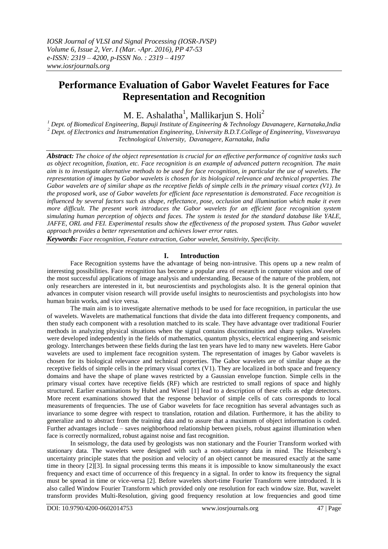# **Performance Evaluation of Gabor Wavelet Features for Face Representation and Recognition**

M. E. Ashalatha $^1$ , Mallikarjun S. Holi $^2$ 

*<sup>1</sup> Dept. of Biomedical Engineering, Bapuji Institute of Engineering & Technology Davanagere, Karnataka,India <sup>2</sup> Dept. of Electronics and Instrumentation Engineering, University B.D.T.College of Engineering, Visvesvaraya Technological University, Davanagere, Karnataka, India*

*Abstract: The choice of the object representation is crucial for an effective performance of cognitive tasks such as object recognition, fixation, etc. Face recognition is an example of advanced pattern recognition. The main aim is to investigate alternative methods to be used for face recognition, in particular the use of wavelets. The representation of images by Gabor wavelets is chosen for its biological relevance and technical properties. The Gabor wavelets are of similar shape as the receptive fields of simple cells in the primary visual cortex (V1). In the proposed work, use of Gabor wavelets for efficient face representation is demonstrated. Face recognition is influenced by several factors such as shape, reflectance, pose, occlusion and illumination which make it even more difficult. The present work introduces the Gabor wavelets for an efficient face recognition system simulating human perception of objects and faces. The system is tested for the standard database like YALE, JAFFE, ORL and FEI. Experimental results show the effectiveness of the proposed system. Thus Gabor wavelet approach provides a better representation and achieves lower error rates.* 

*Keywords: Face recognition, Feature extraction, Gabor wavelet, Sensitivity, Specificity.*

## **I. Introduction**

Face Recognition systems have the advantage of being non-intrusive. This opens up a new realm of interesting possibilities. Face recognition has become a popular area of research in computer vision and one of the most successful applications of image analysis and understanding. Because of the nature of the problem, not only researchers are interested in it, but neuroscientists and psychologists also. It is the general opinion that advances in computer vision research will provide useful insights to neuroscientists and psychologists into how human brain works, and vice versa.

The main aim is to investigate alternative methods to be used for face recognition, in particular the use of wavelets. Wavelets are mathematical functions that divide the data into different frequency components, and then study each component with a resolution matched to its scale. They have advantage over traditional Fourier methods in analyzing physical situations when the signal contains discontinuities and sharp spikes. Wavelets were developed independently in the fields of mathematics, quantum physics, electrical engineering and seismic geology. Interchanges between these fields during the last ten years have led to many new wavelets. Here Gabor wavelets are used to implement face recognition system. The representation of images by Gabor wavelets is chosen for its biological relevance and technical properties. The Gabor wavelets are of similar shape as the receptive fields of simple cells in the primary visual cortex (V1). They are localized in both space and frequency domains and have the shape of plane waves restricted by a Gaussian envelope function. Simple cells in the primary visual cortex have receptive fields (RF) which are restricted to small regions of space and highly structured. Earlier examinations by Hubel and Wiesel [1] lead to a description of these cells as edge detectors. More recent examinations showed that the response behavior of simple cells of cats corresponds to local measurements of frequencies. The use of Gabor wavelets for face recognition has several advantages such as invariance to some degree with respect to translation, rotation and dilation. Furthermore, it has the ability to generalize and to abstract from the training data and to assure that a maximum of object information is coded. Further advantages include – saves neighborhood relationship between pixels, robust against illumination when face is correctly normalized, robust against noise and fast recognition.

In seismology, the data used by geologists was non stationary and the Fourier Transform worked with stationary data. The wavelets were designed with such a non-stationary data in mind. The Heisenberg"s uncertainty principle states that the position and velocity of an object cannot be measured exactly at the same time in theory [2][3]. In signal processing terms this means it is impossible to know simultaneously the exact frequency and exact time of occurrence of this frequency in a signal. In order to know its frequency the signal must be spread in time or vice-versa [2]. Before wavelets short-time Fourier Transform were introduced. It is also called Window Fourier Transform which provided only one resolution for each window size. But, wavelet transform provides Multi-Resolution, giving good frequency resolution at low frequencies and good time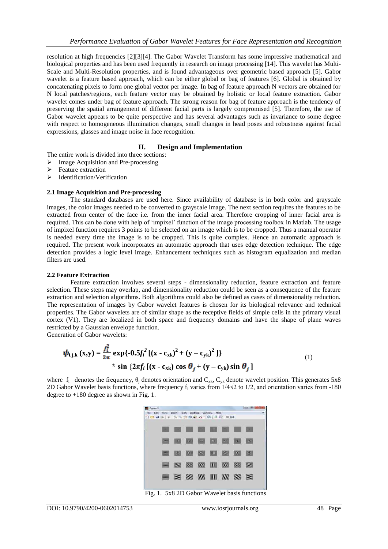resolution at high frequencies [2][3][4]. The Gabor Wavelet Transform has some impressive mathematical and biological properties and has been used frequently in research on image processing [14]. This wavelet has Multi-Scale and Multi-Resolution properties, and is found advantageous over geometric based approach [5]. Gabor wavelet is a feature based approach, which can be either global or bag of features [6]. Global is obtained by concatenating pixels to form one global vector per image. In bag of feature approach N vectors are obtained for N local patches/regions, each feature vector may be obtained by holistic or local feature extraction. Gabor wavelet comes under bag of feature approach. The strong reason for bag of feature approach is the tendency of preserving the spatial arrangement of different facial parts is largely compromised [5]. Therefore, the use of Gabor wavelet appears to be quite perspective and has several advantages such as invariance to some degree with respect to homogeneous illumination changes, small changes in head poses and robustness against facial expressions, glasses and image noise in face recognition.

## **II. Design and Implementation**

The entire work is divided into three sections:

- $\triangleright$  Image Acquisition and Pre-processing
- Feature extraction
- $\triangleright$  Identification/Verification

#### **2.1 Image Acquisition and Pre-processing**

The standard databases are used here. Since availability of database is in both color and grayscale images, the color images needed to be converted to grayscale image. The next section requires the features to be extracted from center of the face i.e. from the inner facial area. Therefore cropping of inner facial area is required. This can be done with help of "impixel" function of the image processing toolbox in Matlab. The usage of impixel function requires 3 points to be selected on an image which is to be cropped. Thus a manual operator is needed every time the image is to be cropped. This is quite complex. Hence an automatic approach is required. The present work incorporates an automatic approach that uses edge detection technique. The edge detection provides a logic level image. Enhancement techniques such as histogram equalization and median filters are used.

#### **2.2 Feature Extraction**

Feature extraction involves several steps - dimensionality reduction, feature extraction and feature selection. These steps may overlap, and dimensionality reduction could be seen as a consequence of the feature extraction and selection algorithms. Both algorithms could also be defined as cases of dimensionality reduction. The representation of images by Gabor wavelet features is chosen for its biological relevance and technical properties. The Gabor wavelets are of similar shape as the receptive fields of simple cells in the primary visual cortex (V1). They are localized in both space and frequency domains and have the shape of plane waves restricted by a Gaussian envelope function.

Generation of Gabor wavelets:

$$
\psi_{i,j,k}(x,y) = \frac{f_i^2}{2\pi} \exp\{-0.5f_i^2[(x - c_{xk})^2 + (y - c_{yk})^2]\}\n* \sin\{2\pi f_i[(x - c_{xk})\cos\theta_j + (y - c_{yk})\sin\theta_j]\n
$$
\n(1)

where  $f_i$  denotes the frequency,  $\theta_j$  denotes orientation and  $C_{x,k}$ ,  $C_{yk}$  denote wavelet position. This generates 5x8 2D Gabor Wavelet basis functions, where frequency  $f_i$  varies from  $1/4\sqrt{2}$  to  $1/2$ , and orientation varies from -180 degree to +180 degree as shown in Fig. 1.



Fig. 1. 5x8 2D Gabor Wavelet basis functions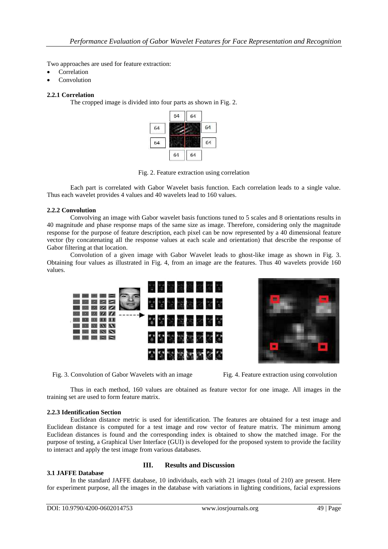Two approaches are used for feature extraction:

- **Correlation**
- Convolution

## **2.2.1 Correlation**

The cropped image is divided into four parts as shown in Fig. 2.



Fig. 2. Feature extraction using correlation

Each part is correlated with Gabor Wavelet basis function. Each correlation leads to a single value. Thus each wavelet provides 4 values and 40 wavelets lead to 160 values.

## **2.2.2 Convolution**

Convolving an image with Gabor wavelet basis functions tuned to 5 scales and 8 orientations results in 40 magnitude and phase response maps of the same size as image. Therefore, considering only the magnitude response for the purpose of feature description, each pixel can be now represented by a 40 dimensional feature vector (by concatenating all the response values at each scale and orientation) that describe the response of Gabor filtering at that location.

Convolution of a given image with Gabor Wavelet leads to ghost-like image as shown in Fig. 3. Obtaining four values as illustrated in Fig. 4, from an image are the features. Thus 40 wavelets provide 160 values.



Fig. 3. Convolution of Gabor Wavelets with an image Fig. 4. Feature extraction using convolution



Thus in each method, 160 values are obtained as feature vector for one image. All images in the training set are used to form feature matrix.

#### **2.2.3 Identification Section**

Euclidean distance metric is used for identification. The features are obtained for a test image and Euclidean distance is computed for a test image and row vector of feature matrix. The minimum among Euclidean distances is found and the corresponding index is obtained to show the matched image. For the purpose of testing, a Graphical User Interface (GUI) is developed for the proposed system to provide the facility to interact and apply the test image from various databases.

#### **3.1 JAFFE Database**

### **III. Results and Discussion**

In the standard JAFFE database, 10 individuals, each with 21 images (total of 210) are present. Here for experiment purpose, all the images in the database with variations in lighting conditions, facial expressions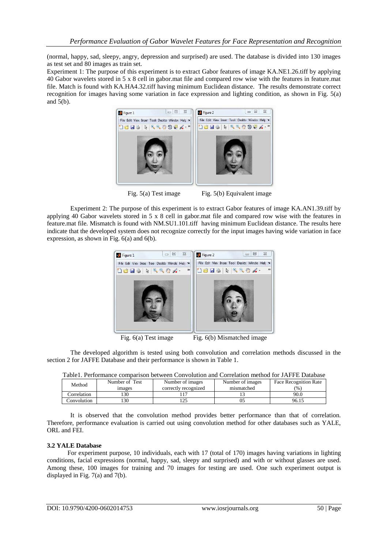(normal, happy, sad, sleepy, angry, depression and surprised) are used. The database is divided into 130 images as test set and 80 images as train set.

Experiment 1: The purpose of this experiment is to extract Gabor features of image KA.NE1.26.tiff by applying 40 Gabor wavelets stored in 5 x 8 cell in gabor.mat file and compared row wise with the features in feature.mat file. Match is found with KA.HA4.32.tiff having minimum Euclidean distance. The results demonstrate correct recognition for images having some variation in face expression and lighting condition, as shown in Fig. 5(a) and  $5(b)$ .



Fig. 5(a) Test image Fig. 5(b) Equivalent image

Experiment 2: The purpose of this experiment is to extract Gabor features of image KA.AN1.39.tiff by applying 40 Gabor wavelets stored in 5 x 8 cell in gabor.mat file and compared row wise with the features in feature.mat file. Mismatch is found with NM.SU1.101.tiff having minimum Euclidean distance. The results here indicate that the developed system does not recognize correctly for the input images having wide variation in face expression, as shown in Fig. 6(a) and 6(b).



Fig. 6(a) Test image Fig. 6(b) Mismatched image

The developed algorithm is tested using both convolution and correlation methods discussed in the section 2 for JAFFE Database and their performance is shown in Table 1.

|  | Table1. Performance comparison between Convolution and Correlation method for JAFFE Database |  |  |  |  |  |  |  |  |
|--|----------------------------------------------------------------------------------------------|--|--|--|--|--|--|--|--|
|--|----------------------------------------------------------------------------------------------|--|--|--|--|--|--|--|--|

| Method      | Number of Test | Number of images     | Number of images | Face Recognition Rate |
|-------------|----------------|----------------------|------------------|-----------------------|
|             | <i>images</i>  | correctly recognized | mismatched       | $\frac{6}{9}$         |
| Correlation | 30             |                      |                  | 90.0                  |
| Convolution | 30             | ⊥∠J                  |                  | 96.15                 |

It is observed that the convolution method provides better performance than that of correlation. Therefore, performance evaluation is carried out using convolution method for other databases such as YALE, ORL and FEI.

## **3.2 YALE Database**

For experiment purpose, 10 individuals, each with 17 (total of 170) images having variations in lighting conditions, facial expressions (normal, happy, sad, sleepy and surprised) and with or without glasses are used. Among these, 100 images for training and 70 images for testing are used. One such experiment output is displayed in Fig. 7(a) and 7(b).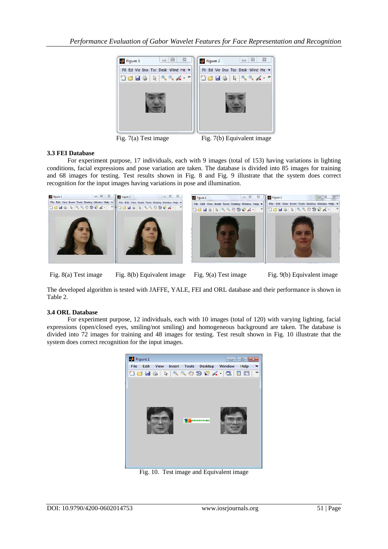

Fig. 7(a) Test image Fig. 7(b) Equivalent image

# **3.3 FEI Database**

For experiment purpose, 17 individuals, each with 9 images (total of 153) having variations in lighting conditions, facial expressions and pose variation are taken. The database is divided into 85 images for training and 68 images for testing. Test results shown in Fig. 8 and Fig. 9 illustrate that the system does correct recognition for the input images having variations in pose and illumination.



Fig. 8(a) Test image Fig. 8(b) Equivalent image Fig. 9(a) Test image Fig. 9(b) Equivalent image

The developed algorithm is tested with JAFFE, YALE, FEI and ORL database and their performance is shown in Table 2.

## **3.4 ORL Database**

For experiment purpose, 12 individuals, each with 10 images (total of 120) with varying lighting, facial expressions (open/closed eyes, smiling/not smiling) and homogeneous background are taken. The database is divided into 72 images for training and 48 images for testing. Test result shown in Fig. 10 illustrate that the system does correct recognition for the input images.



Fig. 10. Test image and Equivalent image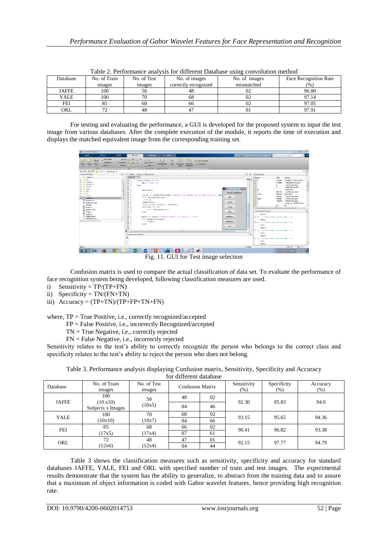| Tucle 2: I encludime with the for whiterent Duthouse while you control invition |              |             |                      |               |                       |  |  |  |
|---------------------------------------------------------------------------------|--------------|-------------|----------------------|---------------|-----------------------|--|--|--|
| Database                                                                        | No. of Train | No. of Test | No. of images        | No. of images | Face Recognition Rate |  |  |  |
|                                                                                 | images       | images      | correctly recognized | mismatched    | (% )                  |  |  |  |
| <b>JAFFE</b>                                                                    | 100          | 50          |                      | UZ            | 96.00                 |  |  |  |
| YALE                                                                            | 100          |             | oč                   | UŻ            | 97.14                 |  |  |  |
| FEI                                                                             |              | oð          | oc                   |               | 97.05                 |  |  |  |
| ORL                                                                             |              | 48          |                      | UΙ            | 97.91                 |  |  |  |

Table 2. Performance analysis for different Database using convolution method

For testing and evaluating the performance, a GUI is developed for the proposed system to input the test image from various databases. After the complete execution of the module, it reports the time of execution and displays the matched equivalent image from the corresponding training set.



Fig. 11. GUI for Test image selection

Confusion matrix is used to compare the actual classification of data set. To evaluate the performance of face recognition system being developed, following classification measures are used.

- i) Sensitivity =  $TP/(TP+FN)$
- ii) Specificity =  $TN/(FN+TN)$
- iii) Accuracy = (TP+TN)/(TP+FP+TN+FN)

where, TP = True Positive, i.e., correctly recognized/accepted

FP = False Positive, i.e., incorrectly Recognized/accepted

- TN = True Negative, i.e., correctly rejected
- FN = False Negative, i.e., incorrectly rejected

Sensitivity relates to the test's ability to correctly recognize the person who belongs to the correct class and specificity relates to the test's ability to reject the person who does not belong.

| Table 3. Performance analysis displaying Confusion matrix, Sensitivity, Specificity and Accuracy |  |  |  |
|--------------------------------------------------------------------------------------------------|--|--|--|
|                                                                                                  |  |  |  |

| for different database |                              |                                                  |    |                        |                     |                  |       |  |
|------------------------|------------------------------|--------------------------------------------------|----|------------------------|---------------------|------------------|-------|--|
| Database               | No. of Train<br>images       | No. of Test<br><b>Confusion Matrix</b><br>images |    | Sensitivity<br>$(\% )$ | Specificity<br>(% ) | Accuracy<br>(% ) |       |  |
| <b>JAFFE</b>           | 100                          | 50                                               | 48 | 02                     | 92.30               | 95.83            | 94.0  |  |
|                        | (10x10)<br>Subjects x Images | (10x5)                                           | 04 | 46                     |                     |                  |       |  |
| <b>YALE</b>            | 100                          | 70                                               | 68 | 02                     | 93.15               | 95.65            | 94.36 |  |
|                        | (10x10)                      | (10x7)                                           | 04 | 66                     |                     |                  |       |  |
| <b>FEI</b>             | 85                           | 68                                               | 66 | 02                     | 90.41               | 96.82            | 93.38 |  |
|                        | (17x5)                       | (17x4)                                           | 07 | 61                     |                     |                  |       |  |
| ORL                    | 72                           | 48                                               | 47 | 01                     | 92.15               | 97.77            | 94.79 |  |
|                        | (12x6)                       | (12x4)                                           | 04 | 44                     |                     |                  |       |  |

Table 3 shows the classification measures such as sensitivity, specificity and accuracy for standard databases JAFFE, YALE, FEI and ORL with specified number of train and test images. The experimental results demonstrate that the system has the ability to generalize, to abstract from the training data and to assure that a maximum of object information is coded with Gabor wavelet features, hence providing high recognition rate.